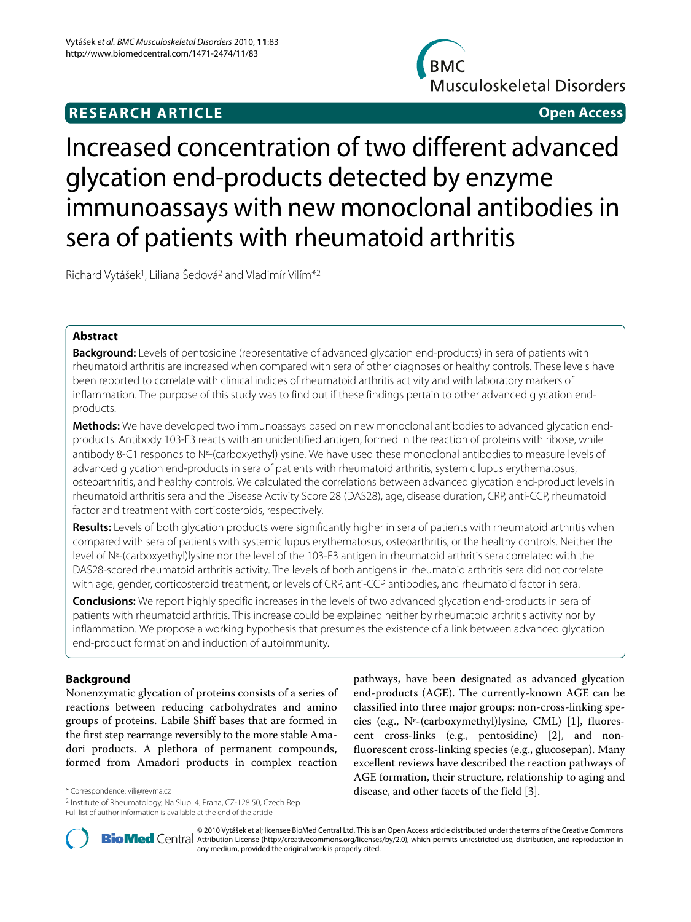# **RESEARCH ARTICLE Open Access**

**BMC Musculoskeletal Disorders** 

# Increased concentration of two different advanced glycation end-products detected by enzyme immunoassays with new monoclonal antibodies in sera of patients with rheumatoid arthritis

Richard Vytášek1, Liliana Šedová2 and Vladimír Vilím\*2

# **Abstract**

**Background:** Levels of pentosidine (representative of advanced glycation end-products) in sera of patients with rheumatoid arthritis are increased when compared with sera of other diagnoses or healthy controls. These levels have been reported to correlate with clinical indices of rheumatoid arthritis activity and with laboratory markers of inflammation. The purpose of this study was to find out if these findings pertain to other advanced glycation endproducts.

**Methods:** We have developed two immunoassays based on new monoclonal antibodies to advanced glycation endproducts. Antibody 103-E3 reacts with an unidentified antigen, formed in the reaction of proteins with ribose, while antibody 8-C1 responds to Nε-(carboxyethyl)lysine. We have used these monoclonal antibodies to measure levels of advanced glycation end-products in sera of patients with rheumatoid arthritis, systemic lupus erythematosus, osteoarthritis, and healthy controls. We calculated the correlations between advanced glycation end-product levels in rheumatoid arthritis sera and the Disease Activity Score 28 (DAS28), age, disease duration, CRP, anti-CCP, rheumatoid factor and treatment with corticosteroids, respectively.

**Results:** Levels of both glycation products were significantly higher in sera of patients with rheumatoid arthritis when compared with sera of patients with systemic lupus erythematosus, osteoarthritis, or the healthy controls. Neither the level of Nε-(carboxyethyl)lysine nor the level of the 103-E3 antigen in rheumatoid arthritis sera correlated with the DAS28-scored rheumatoid arthritis activity. The levels of both antigens in rheumatoid arthritis sera did not correlate with age, gender, corticosteroid treatment, or levels of CRP, anti-CCP antibodies, and rheumatoid factor in sera.

**Conclusions:** We report highly specific increases in the levels of two advanced glycation end-products in sera of patients with rheumatoid arthritis. This increase could be explained neither by rheumatoid arthritis activity nor by inflammation. We propose a working hypothesis that presumes the existence of a link between advanced glycation end-product formation and induction of autoimmunity.

# **Background**

Nonenzymatic glycation of proteins consists of a series of reactions between reducing carbohydrates and amino groups of proteins. Labile Shiff bases that are formed in the first step rearrange reversibly to the more stable Amadori products. A plethora of permanent compounds, formed from Amadori products in complex reaction

2 Institute of Rheumatology, Na Slupi 4, Praha, CZ-128 50, Czech Rep Full list of author information is available at the end of the article

pathways, have been designated as advanced glycation end-products (AGE). The currently-known AGE can be classified into three major groups: non-cross-linking species (e.g.,  $N^{\epsilon}$ -(carboxymethyl)lysine, CML) [[1\]](#page-9-0), fluorescent cross-links (e.g., pentosidine) [[2](#page-9-1)], and nonfluorescent cross-linking species (e.g., glucosepan). Many excellent reviews have described the reaction pathways of AGE formation, their structure, relationship to aging and \* Correspondence: vili@revma.cz disease, and other facets of the field [\[3](#page-9-2)].



2010 Vytášek et al; licensee [BioMed](http://www.biomedcentral.com/) Central Ltd. This is an Open Access article distributed under the terms of the Creative Commons (http://creativecommons.org/licenses/by/2.0), which permits unrestricted use, distribution any medium, provided the original work is properly cited.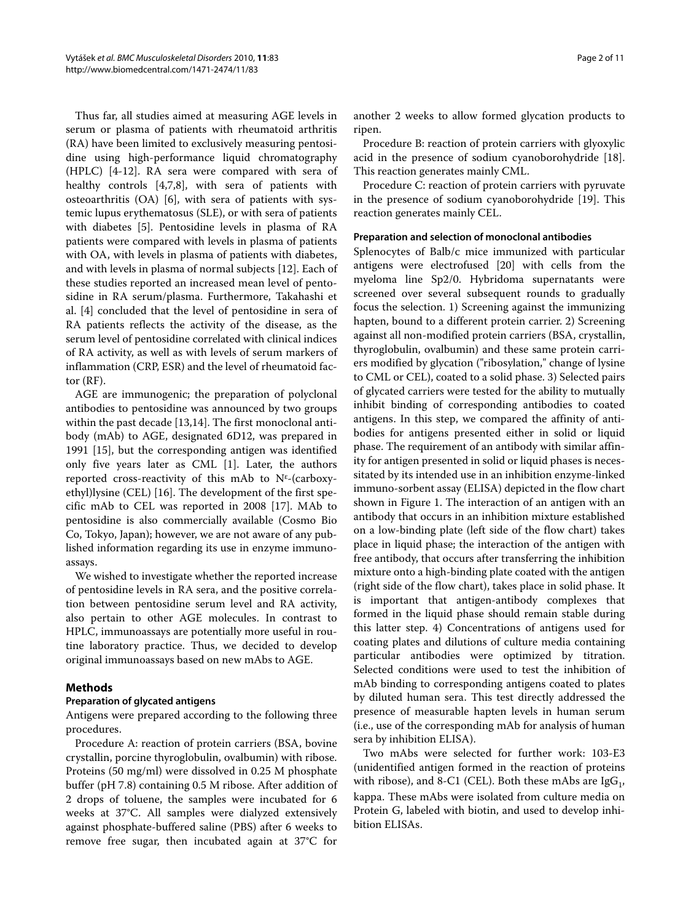Thus far, all studies aimed at measuring AGE levels in serum or plasma of patients with rheumatoid arthritis (RA) have been limited to exclusively measuring pentosidine using high-performance liquid chromatography (HPLC) [[4-](#page-9-3)[12](#page-9-4)]. RA sera were compared with sera of healthy controls [\[4](#page-9-3)[,7](#page-9-5)[,8](#page-9-6)], with sera of patients with osteoarthritis (OA) [[6](#page-9-7)], with sera of patients with systemic lupus erythematosus (SLE), or with sera of patients with diabetes [[5\]](#page-9-8). Pentosidine levels in plasma of RA patients were compared with levels in plasma of patients with OA, with levels in plasma of patients with diabetes, and with levels in plasma of normal subjects [[12](#page-9-4)]. Each of these studies reported an increased mean level of pentosidine in RA serum/plasma. Furthermore, Takahashi et al. [[4](#page-9-3)] concluded that the level of pentosidine in sera of RA patients reflects the activity of the disease, as the serum level of pentosidine correlated with clinical indices of RA activity, as well as with levels of serum markers of inflammation (CRP, ESR) and the level of rheumatoid factor (RF).

AGE are immunogenic; the preparation of polyclonal antibodies to pentosidine was announced by two groups within the past decade [[13,](#page-9-9)[14\]](#page-9-10). The first monoclonal antibody (mAb) to AGE, designated 6D12, was prepared in 1991 [[15\]](#page-9-11), but the corresponding antigen was identified only five years later as CML [[1\]](#page-9-0). Later, the authors reported cross-reactivity of this mAb to Nε-(carboxyethyl)lysine (CEL) [[16\]](#page-9-12). The development of the first specific mAb to CEL was reported in 2008 [[17\]](#page-9-13). MAb to pentosidine is also commercially available (Cosmo Bio Co, Tokyo, Japan); however, we are not aware of any published information regarding its use in enzyme immunoassays.

We wished to investigate whether the reported increase of pentosidine levels in RA sera, and the positive correlation between pentosidine serum level and RA activity, also pertain to other AGE molecules. In contrast to HPLC, immunoassays are potentially more useful in routine laboratory practice. Thus, we decided to develop original immunoassays based on new mAbs to AGE.

# **Methods**

# **Preparation of glycated antigens**

Antigens were prepared according to the following three procedures.

Procedure A: reaction of protein carriers (BSA, bovine crystallin, porcine thyroglobulin, ovalbumin) with ribose. Proteins (50 mg/ml) were dissolved in 0.25 M phosphate buffer (pH 7.8) containing 0.5 M ribose. After addition of 2 drops of toluene, the samples were incubated for 6 weeks at 37°C. All samples were dialyzed extensively against phosphate-buffered saline (PBS) after 6 weeks to remove free sugar, then incubated again at 37°C for

another 2 weeks to allow formed glycation products to ripen.

Procedure B: reaction of protein carriers with glyoxylic acid in the presence of sodium cyanoborohydride [\[18](#page-9-14)]. This reaction generates mainly CML.

Procedure C: reaction of protein carriers with pyruvate in the presence of sodium cyanoborohydride [\[19](#page-9-15)]. This reaction generates mainly CEL.

# **Preparation and selection of monoclonal antibodies**

Splenocytes of Balb/c mice immunized with particular antigens were electrofused [[20\]](#page-9-16) with cells from the myeloma line Sp2/0. Hybridoma supernatants were screened over several subsequent rounds to gradually focus the selection. 1) Screening against the immunizing hapten, bound to a different protein carrier. 2) Screening against all non-modified protein carriers (BSA, crystallin, thyroglobulin, ovalbumin) and these same protein carriers modified by glycation ("ribosylation," change of lysine to CML or CEL), coated to a solid phase. 3) Selected pairs of glycated carriers were tested for the ability to mutually inhibit binding of corresponding antibodies to coated antigens. In this step, we compared the affinity of antibodies for antigens presented either in solid or liquid phase. The requirement of an antibody with similar affinity for antigen presented in solid or liquid phases is necessitated by its intended use in an inhibition enzyme-linked immuno-sorbent assay (ELISA) depicted in the flow chart shown in Figure [1.](#page-2-0) The interaction of an antigen with an antibody that occurs in an inhibition mixture established on a low-binding plate (left side of the flow chart) takes place in liquid phase; the interaction of the antigen with free antibody, that occurs after transferring the inhibition mixture onto a high-binding plate coated with the antigen (right side of the flow chart), takes place in solid phase. It is important that antigen-antibody complexes that formed in the liquid phase should remain stable during this latter step. 4) Concentrations of antigens used for coating plates and dilutions of culture media containing particular antibodies were optimized by titration. Selected conditions were used to test the inhibition of mAb binding to corresponding antigens coated to plates by diluted human sera. This test directly addressed the presence of measurable hapten levels in human serum (i.e., use of the corresponding mAb for analysis of human sera by inhibition ELISA).

Two mAbs were selected for further work: 103-E3 (unidentified antigen formed in the reaction of proteins with ribose), and 8-C1 (CEL). Both these mAbs are  $\text{IgG}_1$ , kappa. These mAbs were isolated from culture media on Protein G, labeled with biotin, and used to develop inhibition ELISAs.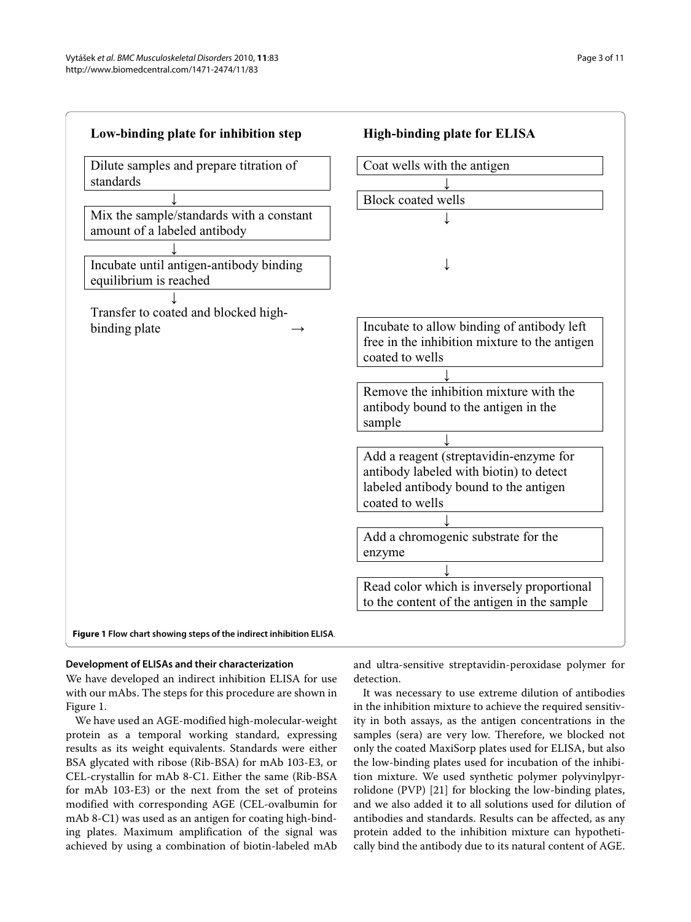<span id="page-2-0"></span>

#### **Development of ELISAs and their characterization**

We have developed an indirect inhibition ELISA for use with our mAbs. The steps for this procedure are shown in Figure [1.](#page-2-0)

We have used an AGE-modified high-molecular-weight protein as a temporal working standard, expressing results as its weight equivalents. Standards were either BSA glycated with ribose (Rib-BSA) for mAb 103-E3, or CEL-crystallin for mAb 8-C1. Either the same (Rib-BSA for mAb 103-E3) or the next from the set of proteins modified with corresponding AGE (CEL-ovalbumin for mAb 8-C1) was used as an antigen for coating high-binding plates. Maximum amplification of the signal was achieved by using a combination of biotin-labeled mAb

and ultra-sensitive streptavidin-peroxidase polymer for detection.

It was necessary to use extreme dilution of antibodies in the inhibition mixture to achieve the required sensitivity in both assays, as the antigen concentrations in the samples (sera) are very low. Therefore, we blocked not only the coated MaxiSorp plates used for ELISA, but also the low-binding plates used for incubation of the inhibition mixture. We used synthetic polymer polyvinylpyrrolidone (PVP) [\[21](#page-9-17)] for blocking the low-binding plates, and we also added it to all solutions used for dilution of antibodies and standards. Results can be affected, as any protein added to the inhibition mixture can hypothetically bind the antibody due to its natural content of AGE.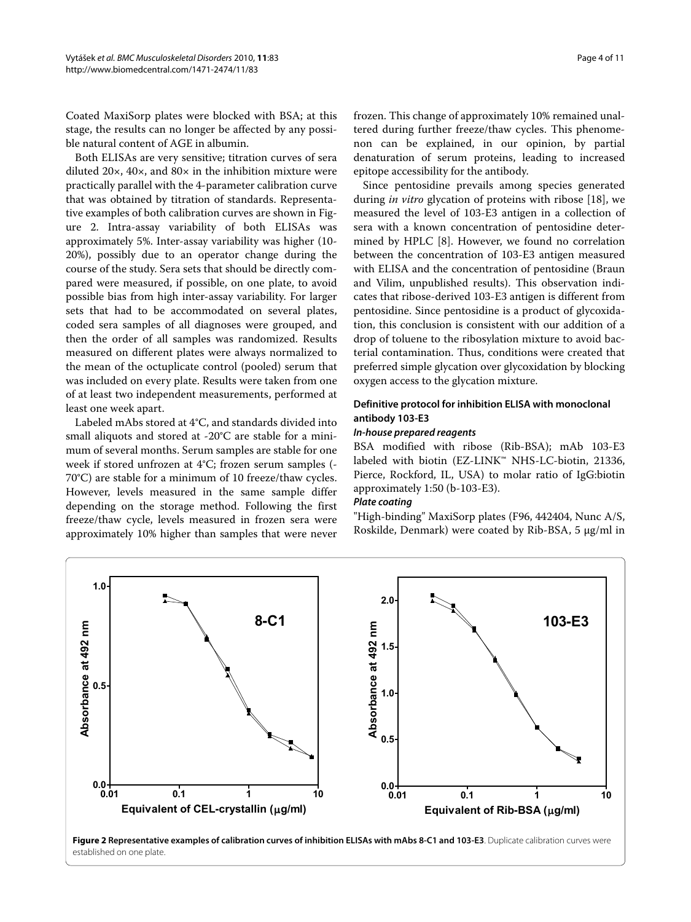Coated MaxiSorp plates were blocked with BSA; at this stage, the results can no longer be affected by any possible natural content of AGE in albumin.

Both ELISAs are very sensitive; titration curves of sera diluted  $20 \times$ ,  $40 \times$ , and  $80 \times$  in the inhibition mixture were practically parallel with the 4-parameter calibration curve that was obtained by titration of standards. Representative examples of both calibration curves are shown in Figure [2.](#page-3-0) Intra-assay variability of both ELISAs was approximately 5%. Inter-assay variability was higher (10- 20%), possibly due to an operator change during the course of the study. Sera sets that should be directly compared were measured, if possible, on one plate, to avoid possible bias from high inter-assay variability. For larger sets that had to be accommodated on several plates, coded sera samples of all diagnoses were grouped, and then the order of all samples was randomized. Results measured on different plates were always normalized to the mean of the octuplicate control (pooled) serum that was included on every plate. Results were taken from one of at least two independent measurements, performed at least one week apart.

Labeled mAbs stored at 4°C, and standards divided into small aliquots and stored at -20°C are stable for a minimum of several months. Serum samples are stable for one week if stored unfrozen at 4°C; frozen serum samples (- 70°C) are stable for a minimum of 10 freeze/thaw cycles. However, levels measured in the same sample differ depending on the storage method. Following the first freeze/thaw cycle, levels measured in frozen sera were approximately 10% higher than samples that were never

frozen. This change of approximately 10% remained unaltered during further freeze/thaw cycles. This phenomenon can be explained, in our opinion, by partial denaturation of serum proteins, leading to increased epitope accessibility for the antibody.

Since pentosidine prevails among species generated during *in vitro* glycation of proteins with ribose [[18\]](#page-9-14), we measured the level of 103-E3 antigen in a collection of sera with a known concentration of pentosidine determined by HPLC [\[8](#page-9-6)]. However, we found no correlation between the concentration of 103-E3 antigen measured with ELISA and the concentration of pentosidine (Braun and Vilim, unpublished results). This observation indicates that ribose-derived 103-E3 antigen is different from pentosidine. Since pentosidine is a product of glycoxidation, this conclusion is consistent with our addition of a drop of toluene to the ribosylation mixture to avoid bacterial contamination. Thus, conditions were created that preferred simple glycation over glycoxidation by blocking oxygen access to the glycation mixture.

# **Definitive protocol for inhibition ELISA with monoclonal antibody 103-E3**

#### **In-house prepared reagents**

BSA modified with ribose (Rib-BSA); mAb 103-E3 labeled with biotin (EZ-LINK™ NHS-LC-biotin, 21336, Pierce, Rockford, IL, USA) to molar ratio of IgG:biotin approximately 1:50 (b-103-E3).

#### **Plate coating**

"High-binding" MaxiSorp plates (F96, 442404, Nunc A/S, Roskilde, Denmark) were coated by Rib-BSA, 5 μg/ml in

<span id="page-3-0"></span>

**Figure 2 Representative examples of calibration curves of inhibition ELISAs with mAbs 8-C1 and 103-E3**. Duplicate calibration curves were established on one plate.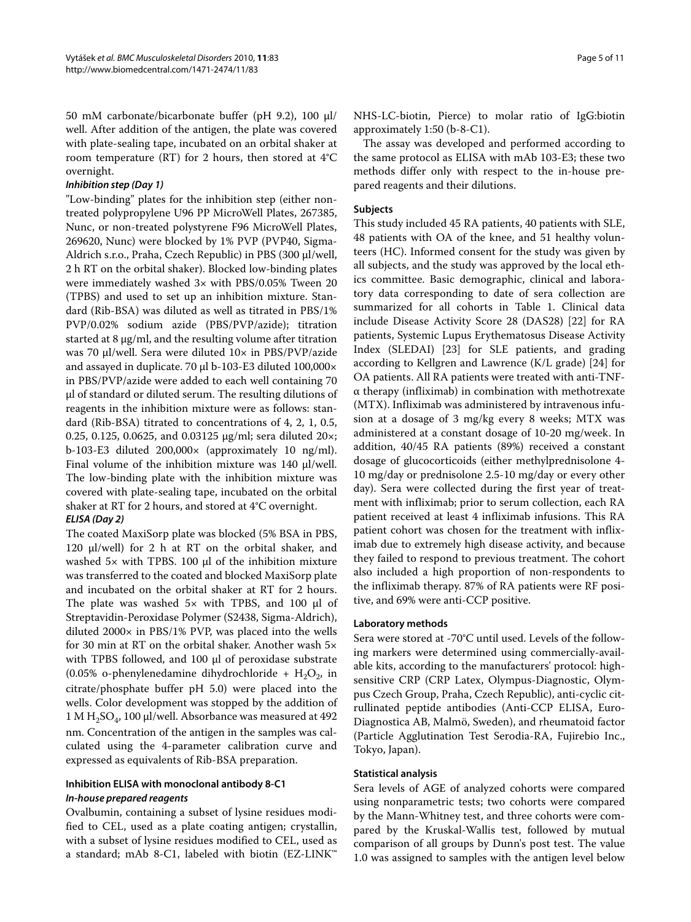50 mM carbonate/bicarbonate buffer (pH 9.2), 100 μl/ well. After addition of the antigen, the plate was covered with plate-sealing tape, incubated on an orbital shaker at room temperature (RT) for 2 hours, then stored at 4°C overnight.

#### **Inhibition step (Day 1)**

"Low-binding" plates for the inhibition step (either nontreated polypropylene U96 PP MicroWell Plates, 267385, Nunc, or non-treated polystyrene F96 MicroWell Plates, 269620, Nunc) were blocked by 1% PVP (PVP40, Sigma-Aldrich s.r.o., Praha, Czech Republic) in PBS (300 μl/well, 2 h RT on the orbital shaker). Blocked low-binding plates were immediately washed 3× with PBS/0.05% Tween 20 (TPBS) and used to set up an inhibition mixture. Standard (Rib-BSA) was diluted as well as titrated in PBS/1% PVP/0.02% sodium azide (PBS/PVP/azide); titration started at 8 μg/ml, and the resulting volume after titration was 70 μl/well. Sera were diluted 10× in PBS/PVP/azide and assayed in duplicate. 70 μl b-103-E3 diluted 100,000× in PBS/PVP/azide were added to each well containing 70 μl of standard or diluted serum. The resulting dilutions of reagents in the inhibition mixture were as follows: standard (Rib-BSA) titrated to concentrations of 4, 2, 1, 0.5, 0.25, 0.125, 0.0625, and 0.03125 μg/ml; sera diluted 20×; b-103-E3 diluted 200,000× (approximately 10 ng/ml). Final volume of the inhibition mixture was 140 μl/well. The low-binding plate with the inhibition mixture was covered with plate-sealing tape, incubated on the orbital shaker at RT for 2 hours, and stored at 4°C overnight.

#### **ELISA (Day 2)**

The coated MaxiSorp plate was blocked (5% BSA in PBS, 120 μl/well) for 2 h at RT on the orbital shaker, and washed 5× with TPBS. 100 μl of the inhibition mixture was transferred to the coated and blocked MaxiSorp plate and incubated on the orbital shaker at RT for 2 hours. The plate was washed 5× with TPBS, and 100 μl of Streptavidin-Peroxidase Polymer (S2438, Sigma-Aldrich), diluted 2000× in PBS/1% PVP, was placed into the wells for 30 min at RT on the orbital shaker. Another wash 5× with TPBS followed, and 100 μl of peroxidase substrate (0.05% o-phenylenedamine dihydrochloride +  $H_2O_2$ , in citrate/phosphate buffer pH 5.0) were placed into the wells. Color development was stopped by the addition of 1 M H<sub>2</sub>SO<sub>4</sub>, 100 μl/well. Absorbance was measured at 492 nm. Concentration of the antigen in the samples was calculated using the 4-parameter calibration curve and expressed as equivalents of Rib-BSA preparation.

# **Inhibition ELISA with monoclonal antibody 8-C1 In-house prepared reagents**

Ovalbumin, containing a subset of lysine residues modified to CEL, used as a plate coating antigen; crystallin, with a subset of lysine residues modified to CEL, used as a standard; mAb 8-C1, labeled with biotin (EZ-LINK™

The assay was developed and performed according to the same protocol as ELISA with mAb 103-E3; these two methods differ only with respect to the in-house prepared reagents and their dilutions.

# **Subjects**

This study included 45 RA patients, 40 patients with SLE, 48 patients with OA of the knee, and 51 healthy volunteers (HC). Informed consent for the study was given by all subjects, and the study was approved by the local ethics committee. Basic demographic, clinical and laboratory data corresponding to date of sera collection are summarized for all cohorts in Table [1](#page-5-0). Clinical data include Disease Activity Score 28 (DAS28) [[22](#page-9-18)] for RA patients, Systemic Lupus Erythematosus Disease Activity Index (SLEDAI) [\[23\]](#page-9-19) for SLE patients, and grading according to Kellgren and Lawrence (K/L grade) [[24\]](#page-9-20) for OA patients. All RA patients were treated with anti-TNFα therapy (infliximab) in combination with methotrexate (MTX). Infliximab was administered by intravenous infusion at a dosage of 3 mg/kg every 8 weeks; MTX was administered at a constant dosage of 10-20 mg/week. In addition, 40/45 RA patients (89%) received a constant dosage of glucocorticoids (either methylprednisolone 4- 10 mg/day or prednisolone 2.5-10 mg/day or every other day). Sera were collected during the first year of treatment with infliximab; prior to serum collection, each RA patient received at least 4 infliximab infusions. This RA patient cohort was chosen for the treatment with infliximab due to extremely high disease activity, and because they failed to respond to previous treatment. The cohort also included a high proportion of non-respondents to the infliximab therapy. 87% of RA patients were RF positive, and 69% were anti-CCP positive.

#### **Laboratory methods**

Sera were stored at -70°C until used. Levels of the following markers were determined using commercially-available kits, according to the manufacturers' protocol: highsensitive CRP (CRP Latex, Olympus-Diagnostic, Olympus Czech Group, Praha, Czech Republic), anti-cyclic citrullinated peptide antibodies (Anti-CCP ELISA, Euro-Diagnostica AB, Malmö, Sweden), and rheumatoid factor (Particle Agglutination Test Serodia-RA, Fujirebio Inc., Tokyo, Japan).

#### **Statistical analysis**

Sera levels of AGE of analyzed cohorts were compared using nonparametric tests; two cohorts were compared by the Mann-Whitney test, and three cohorts were compared by the Kruskal-Wallis test, followed by mutual comparison of all groups by Dunn's post test. The value 1.0 was assigned to samples with the antigen level below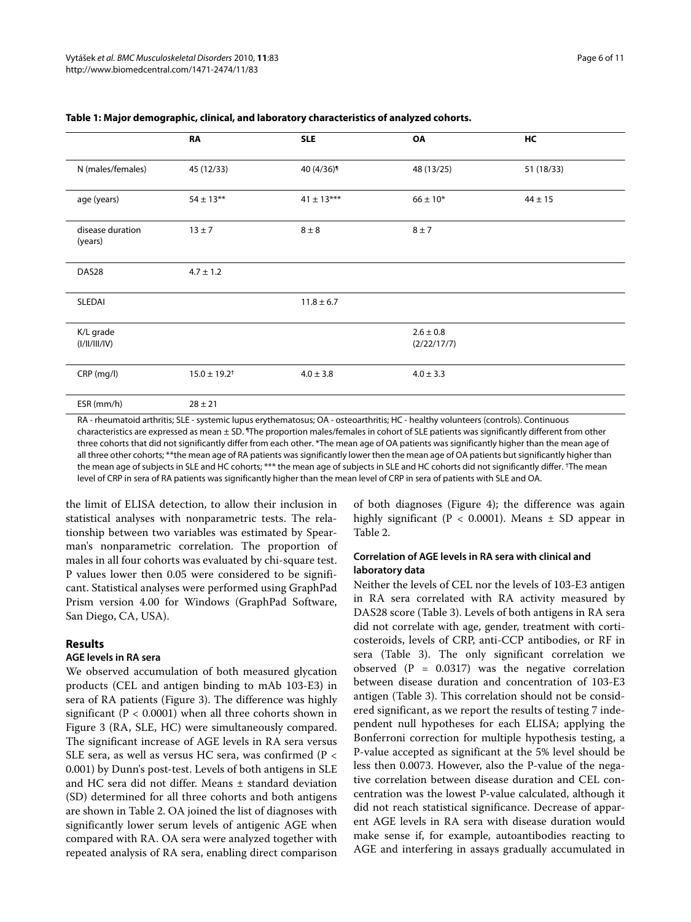|                             | <b>RA</b>         | <b>SLE</b>     | OA                           | HC          |
|-----------------------------|-------------------|----------------|------------------------------|-------------|
| N (males/females)           | 45 (12/33)        | 40 (4/36)      | 48 (13/25)                   | 51 (18/33)  |
| age (years)                 | $54 \pm 13***$    | $41 \pm 13***$ | $66 \pm 10*$                 | $44 \pm 15$ |
| disease duration<br>(years) | $13 \pm 7$        | $8 \pm 8$      | $8 \pm 7$                    |             |
| DAS28                       | $4.7 \pm 1.2$     |                |                              |             |
| SLEDAI                      |                   | $11.8 \pm 6.7$ |                              |             |
| K/L grade<br>(I/II/III/IV)  |                   |                | $2.6 \pm 0.8$<br>(2/22/17/7) |             |
| CRP (mg/l)                  | $15.0 \pm 19.2^+$ | $4.0 \pm 3.8$  | $4.0 \pm 3.3$                |             |
| ESR (mm/h)                  | $28 \pm 21$       |                |                              |             |

# <span id="page-5-0"></span>**Table 1: Major demographic, clinical, and laboratory characteristics of analyzed cohorts.**

RA - rheumatoid arthritis; SLE - systemic lupus erythematosus; OA - osteoarthritis; HC - healthy volunteers (controls). Continuous characteristics are expressed as mean ± SD. The proportion males/females in cohort of SLE patients was significantly different from other three cohorts that did not significantly differ from each other. \*The mean age of OA patients was significantly higher than the mean age of all three other cohorts; \*\*the mean age of RA patients was significantly lower then the mean age of OA patients but significantly higher than the mean age of subjects in SLE and HC cohorts; \*\*\* the mean age of subjects in SLE and HC cohorts did not significantly differ. †The mean level of CRP in sera of RA patients was significantly higher than the mean level of CRP in sera of patients with SLE and OA.

the limit of ELISA detection, to allow their inclusion in statistical analyses with nonparametric tests. The relationship between two variables was estimated by Spearman's nonparametric correlation. The proportion of males in all four cohorts was evaluated by chi-square test. P values lower then 0.05 were considered to be significant. Statistical analyses were performed using GraphPad Prism version 4.00 for Windows (GraphPad Software, San Diego, CA, USA).

#### **Results**

#### **AGE levels in RA sera**

We observed accumulation of both measured glycation products (CEL and antigen binding to mAb 103-E3) in sera of RA patients (Figure [3\)](#page-6-0). The difference was highly significant (P < 0.0001) when all three cohorts shown in Figure [3](#page-6-0) (RA, SLE, HC) were simultaneously compared. The significant increase of AGE levels in RA sera versus SLE sera, as well as versus HC sera, was confirmed (P < 0.001) by Dunn's post-test. Levels of both antigens in SLE and HC sera did not differ. Means ± standard deviation (SD) determined for all three cohorts and both antigens are shown in Table [2](#page-6-1). OA joined the list of diagnoses with significantly lower serum levels of antigenic AGE when compared with RA. OA sera were analyzed together with repeated analysis of RA sera, enabling direct comparison

of both diagnoses (Figure [4](#page-7-0)); the difference was again highly significant ( $P < 0.0001$ ). Means  $\pm$  SD appear in Table 2.

# **Correlation of AGE levels in RA sera with clinical and laboratory data**

Neither the levels of CEL nor the levels of 103-E3 antigen in RA sera correlated with RA activity measured by DAS28 score (Table 3). Levels of both antigens in RA sera did not correlate with age, gender, treatment with corticosteroids, levels of CRP, anti-CCP antibodies, or RF in sera (Table 3). The only significant correlation we observed  $(P = 0.0317)$  was the negative correlation between disease duration and concentration of 103-E3 antigen (Table [3](#page-7-1)). This correlation should not be considered significant, as we report the results of testing 7 independent null hypotheses for each ELISA; applying the Bonferroni correction for multiple hypothesis testing, a P-value accepted as significant at the 5% level should be less then 0.0073. However, also the P-value of the negative correlation between disease duration and CEL concentration was the lowest P-value calculated, although it did not reach statistical significance. Decrease of apparent AGE levels in RA sera with disease duration would make sense if, for example, autoantibodies reacting to AGE and interfering in assays gradually accumulated in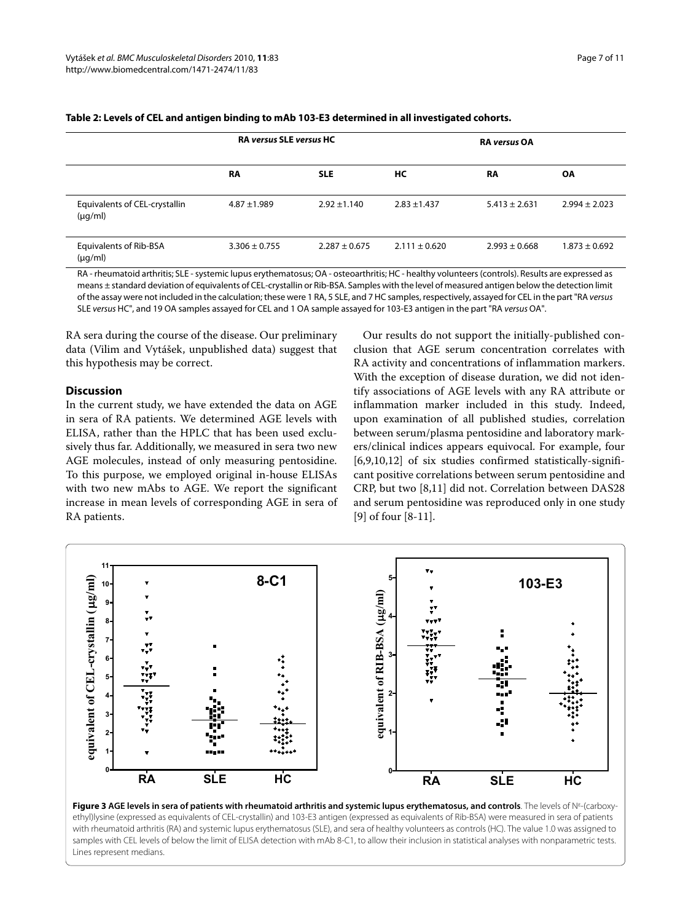|                                               | <b>RA versus SLE versus HC</b> |                   | <b>RA</b> versus OA |                   |                   |
|-----------------------------------------------|--------------------------------|-------------------|---------------------|-------------------|-------------------|
|                                               | <b>RA</b>                      | <b>SLE</b>        | HС                  | <b>RA</b>         | <b>OA</b>         |
| Equivalents of CEL-crystallin<br>$(\mu g/ml)$ | $4.87 + 1.989$                 | $2.92 \pm 1.140$  | $2.83 \pm 1.437$    | $5.413 \pm 2.631$ | $2.994 \pm 2.023$ |
| Equivalents of Rib-BSA<br>$(\mu g/ml)$        | $3.306 \pm 0.755$              | $2.287 \pm 0.675$ | $2.111 \pm 0.620$   | $2.993 \pm 0.668$ | $1.873 \pm 0.692$ |

### <span id="page-6-1"></span>**Table 2: Levels of CEL and antigen binding to mAb 103-E3 determined in all investigated cohorts.**

RA - rheumatoid arthritis; SLE - systemic lupus erythematosus; OA - osteoarthritis; HC - healthy volunteers (controls). Results are expressed as means ± standard deviation of equivalents of CEL-crystallin or Rib-BSA. Samples with the level of measured antigen below the detection limit of the assay were not included in the calculation; these were 1 RA, 5 SLE, and 7 HC samples, respectively, assayed for CEL in the part "RA versus SLE versus HC", and 19 OA samples assayed for CEL and 1 OA sample assayed for 103-E3 antigen in the part "RA versus OA".

RA sera during the course of the disease. Our preliminary data (Vilim and Vytášek, unpublished data) suggest that this hypothesis may be correct.

# **Discussion**

In the current study, we have extended the data on AGE in sera of RA patients. We determined AGE levels with ELISA, rather than the HPLC that has been used exclusively thus far. Additionally, we measured in sera two new AGE molecules, instead of only measuring pentosidine. To this purpose, we employed original in-house ELISAs with two new mAbs to AGE. We report the significant increase in mean levels of corresponding AGE in sera of RA patients.

Our results do not support the initially-published conclusion that AGE serum concentration correlates with RA activity and concentrations of inflammation markers. With the exception of disease duration, we did not identify associations of AGE levels with any RA attribute or inflammation marker included in this study. Indeed, upon examination of all published studies, correlation between serum/plasma pentosidine and laboratory markers/clinical indices appears equivocal. For example, four [[6,](#page-9-7)[9](#page-9-21)[,10](#page-9-22)[,12](#page-9-4)] of six studies confirmed statistically-significant positive correlations between serum pentosidine and CRP, but two [[8,](#page-9-6)[11\]](#page-9-23) did not. Correlation between DAS28 and serum pentosidine was reproduced only in one study [[9\]](#page-9-21) of four [\[8](#page-9-6)-[11\]](#page-9-23).

<span id="page-6-0"></span>

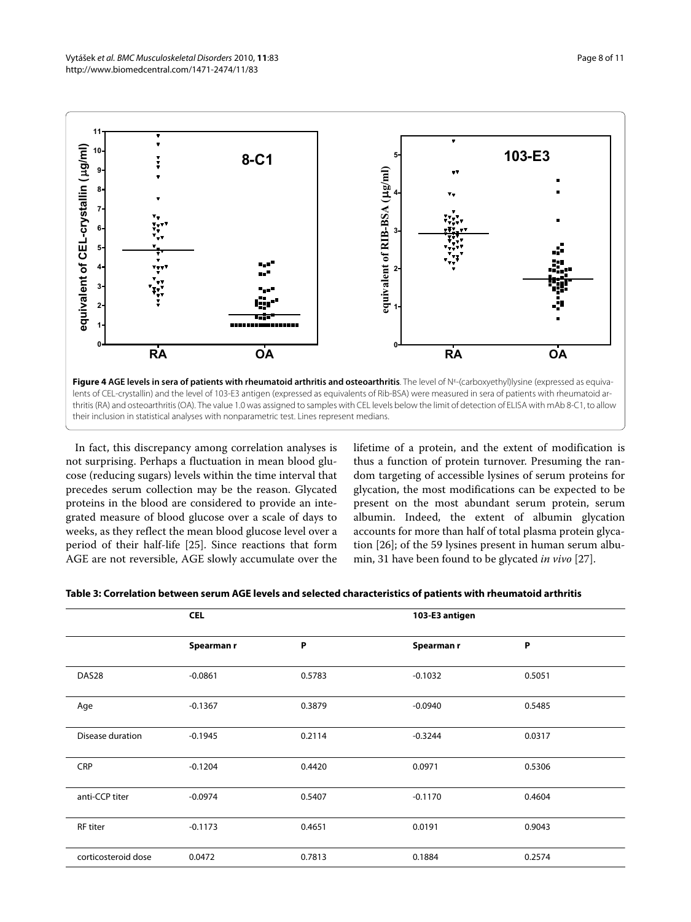<span id="page-7-0"></span>

lents of CEL-crystallin) and the level of 103-E3 antigen (expressed as equivalents of Rib-BSA) were measured in sera of patients with rheumatoid arthritis (RA) and osteoarthritis (OA). The value 1.0 was assigned to samples with CEL levels below the limit of detection of ELISA with mAb 8-C1, to allow their inclusion in statistical analyses with nonparametric test. Lines represent medians.

In fact, this discrepancy among correlation analyses is not surprising. Perhaps a fluctuation in mean blood glucose (reducing sugars) levels within the time interval that precedes serum collection may be the reason. Glycated proteins in the blood are considered to provide an integrated measure of blood glucose over a scale of days to weeks, as they reflect the mean blood glucose level over a period of their half-life [[25](#page-9-24)]. Since reactions that form AGE are not reversible, AGE slowly accumulate over the lifetime of a protein, and the extent of modification is thus a function of protein turnover. Presuming the random targeting of accessible lysines of serum proteins for glycation, the most modifications can be expected to be present on the most abundant serum protein, serum albumin. Indeed, the extent of albumin glycation accounts for more than half of total plasma protein glycation [\[26\]](#page-9-25); of the 59 lysines present in human serum albumin, 31 have been found to be glycated *in vivo* [\[27](#page-9-26)].

|                     | <b>CEL</b> |        | 103-E3 antigen |        |
|---------------------|------------|--------|----------------|--------|
|                     | Spearman r | P      | Spearman r     | P      |
| DAS28               | $-0.0861$  | 0.5783 | $-0.1032$      | 0.5051 |
| Age                 | $-0.1367$  | 0.3879 | $-0.0940$      | 0.5485 |
| Disease duration    | $-0.1945$  | 0.2114 | $-0.3244$      | 0.0317 |
| <b>CRP</b>          | $-0.1204$  | 0.4420 | 0.0971         | 0.5306 |
| anti-CCP titer      | $-0.0974$  | 0.5407 | $-0.1170$      | 0.4604 |
| <b>RF</b> titer     | $-0.1173$  | 0.4651 | 0.0191         | 0.9043 |
| corticosteroid dose | 0.0472     | 0.7813 | 0.1884         | 0.2574 |

<span id="page-7-1"></span>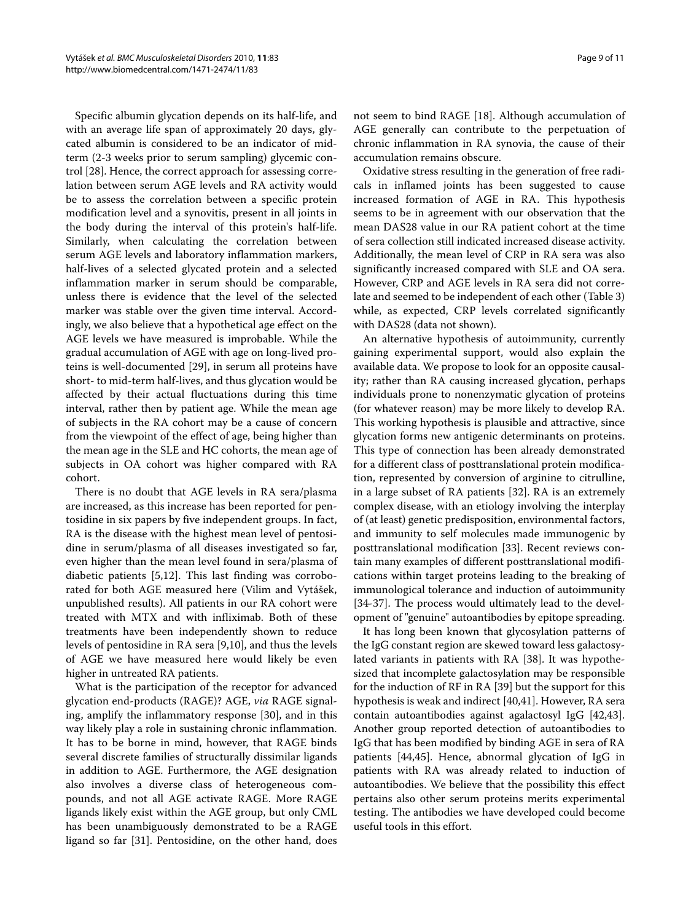Specific albumin glycation depends on its half-life, and with an average life span of approximately 20 days, glycated albumin is considered to be an indicator of midterm (2-3 weeks prior to serum sampling) glycemic control [[28\]](#page-9-27). Hence, the correct approach for assessing correlation between serum AGE levels and RA activity would be to assess the correlation between a specific protein modification level and a synovitis, present in all joints in the body during the interval of this protein's half-life. Similarly, when calculating the correlation between serum AGE levels and laboratory inflammation markers, half-lives of a selected glycated protein and a selected inflammation marker in serum should be comparable, unless there is evidence that the level of the selected marker was stable over the given time interval. Accordingly, we also believe that a hypothetical age effect on the AGE levels we have measured is improbable. While the gradual accumulation of AGE with age on long-lived proteins is well-documented [[29\]](#page-10-0), in serum all proteins have short- to mid-term half-lives, and thus glycation would be affected by their actual fluctuations during this time interval, rather then by patient age. While the mean age of subjects in the RA cohort may be a cause of concern from the viewpoint of the effect of age, being higher than the mean age in the SLE and HC cohorts, the mean age of subjects in OA cohort was higher compared with RA cohort.

There is no doubt that AGE levels in RA sera/plasma are increased, as this increase has been reported for pentosidine in six papers by five independent groups. In fact, RA is the disease with the highest mean level of pentosidine in serum/plasma of all diseases investigated so far, even higher than the mean level found in sera/plasma of diabetic patients [\[5](#page-9-8),[12](#page-9-4)]. This last finding was corroborated for both AGE measured here (Vilim and Vytášek, unpublished results). All patients in our RA cohort were treated with MTX and with infliximab. Both of these treatments have been independently shown to reduce levels of pentosidine in RA sera [\[9](#page-9-21)[,10](#page-9-22)], and thus the levels of AGE we have measured here would likely be even higher in untreated RA patients.

What is the participation of the receptor for advanced glycation end-products (RAGE)? AGE, *via* RAGE signaling, amplify the inflammatory response [\[30](#page-10-1)], and in this way likely play a role in sustaining chronic inflammation. It has to be borne in mind, however, that RAGE binds several discrete families of structurally dissimilar ligands in addition to AGE. Furthermore, the AGE designation also involves a diverse class of heterogeneous compounds, and not all AGE activate RAGE. More RAGE ligands likely exist within the AGE group, but only CML has been unambiguously demonstrated to be a RAGE ligand so far [\[31\]](#page-10-2). Pentosidine, on the other hand, does

not seem to bind RAGE [[18](#page-9-14)]. Although accumulation of AGE generally can contribute to the perpetuation of chronic inflammation in RA synovia, the cause of their accumulation remains obscure.

Oxidative stress resulting in the generation of free radicals in inflamed joints has been suggested to cause increased formation of AGE in RA. This hypothesis seems to be in agreement with our observation that the mean DAS28 value in our RA patient cohort at the time of sera collection still indicated increased disease activity. Additionally, the mean level of CRP in RA sera was also significantly increased compared with SLE and OA sera. However, CRP and AGE levels in RA sera did not correlate and seemed to be independent of each other (Table [3](#page-7-1)) while, as expected, CRP levels correlated significantly with DAS28 (data not shown).

An alternative hypothesis of autoimmunity, currently gaining experimental support, would also explain the available data. We propose to look for an opposite causality; rather than RA causing increased glycation, perhaps individuals prone to nonenzymatic glycation of proteins (for whatever reason) may be more likely to develop RA. This working hypothesis is plausible and attractive, since glycation forms new antigenic determinants on proteins. This type of connection has been already demonstrated for a different class of posttranslational protein modification, represented by conversion of arginine to citrulline, in a large subset of RA patients [\[32](#page-10-3)]. RA is an extremely complex disease, with an etiology involving the interplay of (at least) genetic predisposition, environmental factors, and immunity to self molecules made immunogenic by posttranslational modification [[33\]](#page-10-4). Recent reviews contain many examples of different posttranslational modifications within target proteins leading to the breaking of immunological tolerance and induction of autoimmunity [[34](#page-10-5)[-37](#page-10-6)]. The process would ultimately lead to the development of "genuine" autoantibodies by epitope spreading.

It has long been known that glycosylation patterns of the IgG constant region are skewed toward less galactosylated variants in patients with RA [[38\]](#page-10-7). It was hypothesized that incomplete galactosylation may be responsible for the induction of RF in RA [[39\]](#page-10-8) but the support for this hypothesis is weak and indirect [[40](#page-10-9),[41\]](#page-10-10). However, RA sera contain autoantibodies against agalactosyl IgG [\[42](#page-10-11)[,43](#page-10-12)]. Another group reported detection of autoantibodies to IgG that has been modified by binding AGE in sera of RA patients [\[44](#page-10-13)[,45](#page-10-14)]. Hence, abnormal glycation of IgG in patients with RA was already related to induction of autoantibodies. We believe that the possibility this effect pertains also other serum proteins merits experimental testing. The antibodies we have developed could become useful tools in this effort.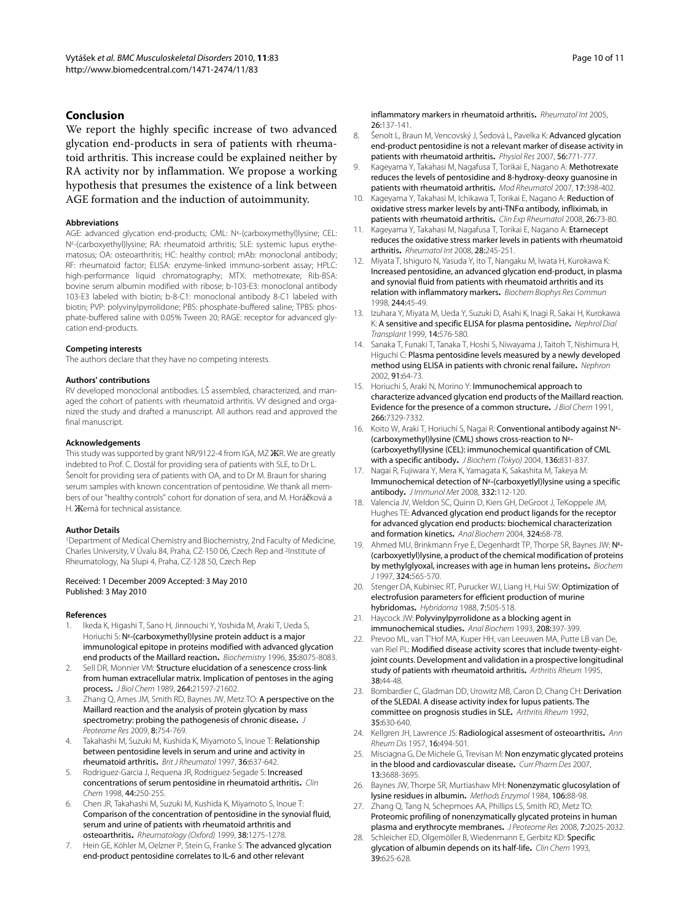# **Conclusion**

We report the highly specific increase of two advanced glycation end-products in sera of patients with rheumatoid arthritis. This increase could be explained neither by RA activity nor by inflammation. We propose a working hypothesis that presumes the existence of a link between AGE formation and the induction of autoimmunity.

#### **Abbreviations**

AGE: advanced glycation end-products; CML: Nε-(carboxymethyl)lysine; CEL: Nε-(carboxyethyl)lysine; RA: rheumatoid arthritis; SLE: systemic lupus erythematosus; OA: osteoarthritis; HC: healthy control; mAb: monoclonal antibody; RF: rheumatoid factor; ELISA: enzyme-linked immuno-sorbent assay; HPLC: high-performance liquid chromatography; MTX: methotrexate; Rib-BSA: bovine serum albumin modified with ribose; b-103-E3: monoclonal antibody 103-E3 labeled with biotin; b-8-C1: monoclonal antibody 8-C1 labeled with biotin; PVP: polyvinylpyrrolidone; PBS: phosphate-buffered saline; TPBS: phosphate-buffered saline with 0.05% Tween 20; RAGE: receptor for advanced glycation end-products.

#### **Competing interests**

The authors declare that they have no competing interests.

#### **Authors' contributions**

RV developed monoclonal antibodies. LŠ assembled, characterized, and managed the cohort of patients with rheumatoid arthritis. VV designed and organized the study and drafted a manuscript. All authors read and approved the final manuscript.

#### **Acknowledgements**

This study was supported by grant NR/9122-4 from IGA, MZ XKR. We are greatly indebted to Prof. C. Dostál for providing sera of patients with SLE, to Dr L. Šenolt for providing sera of patients with OA, and to Dr M. Braun for sharing serum samples with known concentration of pentosidine. We thank all members of our "healthy controls" cohort for donation of sera, and M. Horáčková a H. Жerná for technical assistance.

#### **Author Details**

1Department of Medical Chemistry and Biochemistry, 2nd Faculty of Medicine, Charles University, V Úvalu 84, Praha, CZ-150 06, Czech Rep and 2Institute of Rheumatology, Na Slupi 4, Praha, CZ-128 50, Czech Rep

#### Received: 1 December 2009 Accepted: 3 May 2010 Published: 3 May 2010

#### **References**

- <span id="page-9-0"></span>Ikeda K, Higashi T, Sano H, Jinnouchi Y, Yoshida M, Araki T, Ueda S, Horiuchi S: Nε-(carboxymethyl)lysine protein adduct is a major immunological epitope in proteins modified with advanced glycation end products of the Maillard reaction**[.](http://www.ncbi.nlm.nih.gov/entrez/query.fcgi?cmd=Retrieve&db=PubMed&dopt=Abstract&list_uids=8672512)** Biochemistry 1996, 35:8075-8083.
- <span id="page-9-1"></span>2. Sell DR, Monnier VM: Structure elucidation of a senescence cross-link from human extracellular matrix. Implication of pentoses in the aging process**[.](http://www.ncbi.nlm.nih.gov/entrez/query.fcgi?cmd=Retrieve&db=PubMed&dopt=Abstract&list_uids=2513322)** J Biol Chem 1989, 264:21597-21602.
- <span id="page-9-2"></span>Zhang Q, Ames JM, Smith RD, Baynes JW, Metz TO: A perspective on the Maillard reaction and the analysis of protein glycation by mass spectrometry: probing the pathogenesis of chronic disease**.** J Peoteome Res 2009, 8:754-769.
- <span id="page-9-3"></span>4. Takahashi M, Suzuki M, Kushida K, Miyamoto S, Inoue T: Relationship between pentosidine levels in serum and urine and activity in rheumatoid arthritis**.** Brit J Rheumatol 1997, 36:637-642.
- <span id="page-9-8"></span>5. Rodriguez-Garcia J, Requena JR, Rodriguez-Segade S: Increased concentrations of serum pentosidine in rheumatoid arthritis**.** Clin Chem 1998, 44:250-255.
- <span id="page-9-7"></span>6. Chen JR, Takahashi M, Suzuki M, Kushida K, Miyamoto S, Inoue T: Comparison of the concentration of pentosidine in the synovial fluid, serum and urine of patients with rheumatoid arthritis and osteoarthritis**[.](http://www.ncbi.nlm.nih.gov/entrez/query.fcgi?cmd=Retrieve&db=PubMed&dopt=Abstract&list_uids=10587559)** Rheumatology (Oxford) 1999, 38:1275-1278.
- <span id="page-9-5"></span>7. Hein GE, Köhler M, Oelzner P, Stein G, Franke S: The advanced glycation end-product pentosidine correlates to IL-6 and other relevant

inflammatory markers in rheumatoid arthritis**[.](http://www.ncbi.nlm.nih.gov/entrez/query.fcgi?cmd=Retrieve&db=PubMed&dopt=Abstract&list_uids=15580352)** Rheumatol Int 2005, 26:137-141.

- <span id="page-9-6"></span>8. Šenolt L, Braun M, Vencovský J, Šedová L, Pavelka K: Advanced glycation end-product pentosidine is not a relevant marker of disease activity in patients with rheumatoid arthritis**.** Physiol Res 2007, 56:771-777.
- <span id="page-9-21"></span>9. Kageyama Y, Takahasi M, Nagafusa T, Torikai E, Nagano A: Methotrexate reduces the levels of pentosidine and 8-hydroxy-deoxy guanosine in patients with rheumatoid arthritis**.** Mod Rheumatol 2007, 17:398-402.
- <span id="page-9-22"></span>10. Kageyama Y, Takahasi M, Ichikawa T, Torikai E, Nagano A: Reduction of oxidative stress marker levels by anti-TNFα antibody, infliximab, in patients with rheumatoid arthritis**.** Clin Exp Rheumatol 2008, 26:73-80.
- <span id="page-9-23"></span>11. Kageyama Y, Takahasi M, Nagafusa T, Torikai E, Nagano A: Etarnecept reduces the oxidative stress marker levels in patients with rheumatoid arthritis**.** Rheumatol Int 2008, 28:245-251.
- <span id="page-9-4"></span>12. Miyata T, Ishiguro N, Yasuda Y, Ito T, Nangaku M, Iwata H, Kurokawa K: Increased pentosidine, an advanced glycation end-product, in plasma and synovial fluid from patients with rheumatoid arthritis and its relation with inflammatory markers**.** Biochem Biophys Res Commun 1998, 244:45-49.
- <span id="page-9-9"></span>13. Izuhara Y, Miyata M, Ueda Y, Suzuki D, Asahi K, Inagi R, Sakai H, Kurokawa K: A sensitive and specific ELISA for plasma pentosidine**.** Nephrol Dial Transplant 1999, 14:576-580.
- <span id="page-9-10"></span>14. Sanaka T, Funaki T, Tanaka T, Hoshi S, Niwayama J, Taitoh T, Nishimura H, Higuchi C: Plasma pentosidine levels measured by a newly developed method using ELISA in patients with chronic renal failure**.** Nephron 2002, 91:64-73.
- <span id="page-9-11"></span>15. Horiuchi S, Araki N, Morino Y: Immunochemical approach to characterize advanced glycation end products of the Maillard reaction. Evidence for the presence of a common structure**.** J Biol Chem 1991, 266:7329-7332.
- <span id="page-9-12"></span>16. Koito W, Araki T, Horiuchi S, Nagai R: Conventional antibody against Nε- (carboxymethyl)lysine (CML) shows cross-reaction to Nε- (carboxyethyl)lysine (CEL): immunochemical quantification of CML with a specific antibody**.** J Biochem (Tokyo) 2004, 136:831-837.
- <span id="page-9-13"></span>17. Nagai R, Fujiwara Y, Mera K, Yamagata K, Sakashita M, Takeya M: Immunochemical detection of Nε-(carboxyetlyl)lysine using a specific antibody**.** J Immunol Met 2008, 332:112-120.
- <span id="page-9-14"></span>18. Valencia JV, Weldon SC, Quinn D, Kiers GH, DeGroot J, TeKoppele JM, Hughes TE: Advanced glycation end product ligands for the receptor for advanced glycation end products: biochemical characterization and formation kinetics**.** Anal Biochem 2004, 324:68-78.
- <span id="page-9-15"></span>19. Ahmed MU, Brinkmann Frye E, Degenhardt TP, Thorpe SR, Baynes JW: Nε- (carboxyetlyl)lysine, a product of the chemical modification of proteins by methylglyoxal, increases with age in human lens proteins**.** Biochem J 1997, 324:565-570.
- <span id="page-9-16"></span>20. Stenger DA, Kubiniec RT, Purucker WJ, Liang H, Hui SW: Optimization of electrofusion parameters for efficient production of murine hybridomas**.** Hybridoma 1988, 7:505-518.
- <span id="page-9-17"></span>21. Haycock JW: Polyvinylpyrrolidone as a blocking agent in immunochemical studies**.** Anal Biochem 1993, 208:397-399.
- <span id="page-9-18"></span>22. Prevoo ML, van T'Hof MA, Kuper HH, van Leeuwen MA, Putte LB van De, van Riel PL: Modified disease activity scores that include twenty-eightjoint counts. Development and validation in a prospective longitudinal study of patients with rheumatoid arthritis**.** Arthritis Rheum 1995, 38:44-48.
- <span id="page-9-19"></span>23. Bombardier C, Gladman DD, Urowitz MB, Caron D, Chang CH: Derivation of the SLEDAI. A disease activity index for lupus patients. The committee on prognosis studies in SLE**.** Arthritis Rheum 1992, 35:630-640.
- <span id="page-9-20"></span>24. Kellgren JH, Lawrence JS: Radiological assesment of osteoarthritis**.** Ann Rheum Dis 1957, 16:494-501.
- <span id="page-9-24"></span>25. Misciagna G, De Michele G, Trevisan M: Non enzymatic glycated proteins in the blood and cardiovascular disease**.** Curr Pharm Des 2007, 13:3688-3695.
- <span id="page-9-25"></span>26. Baynes JW, Thorpe SR, Murtiashaw MH: Nonenzymatic glucosylation of lysine residues in albumin**.** Methods Enzymol 1984, 106:88-98.
- <span id="page-9-26"></span>27. Zhang Q, Tang N, Schepmoes AA, Phillips LS, Smith RD, Metz TO: Proteomic profiling of nonenzymatically glycated proteins in human plasma and erythrocyte membranes**.** J Peoteome Res 2008, 7:2025-2032.
- <span id="page-9-27"></span>28. Schleicher ED, Olgemöller B, Wiedenmann E, Gerbitz KD: Specific glycation of albumin depends on its half-life**.** Clin Chem 1993, 39:625-628.